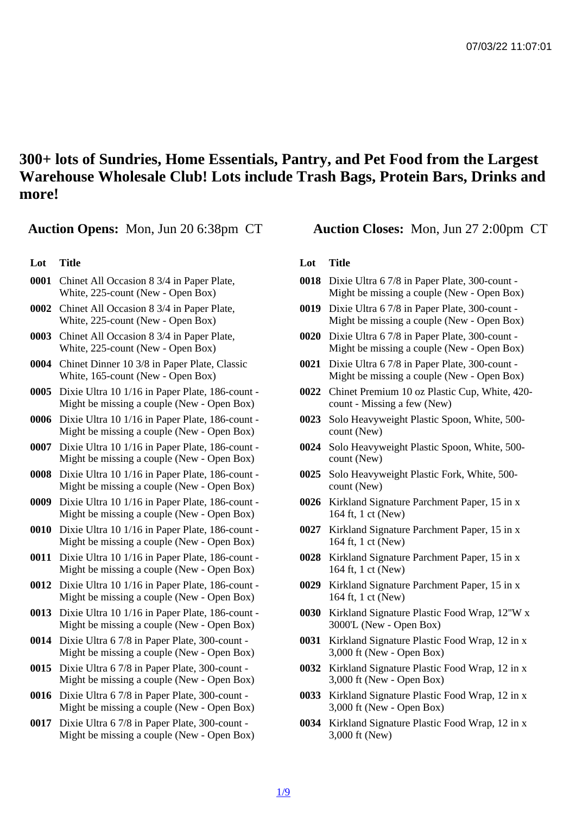300+ lots of Sundries, Home Essentials, Pantry, and Pet Food from the Largest Warehouse Wholesale Club! Lots include Trash Bags, Protein Bars, Drinks and more!

Auction Opens: Mon, Jun 20 6:38pm CT Auction Closes: Mon, Jun 27 2:00pm CT

## Lot Title

- 0001 Chinet All Occasion 8 3/4 in Paper Plate, White, 225-count (New - Open Box)
- 0002 Chinet All Occasion 8 3/4 in Paper Plate, White, 225-count (New - Open Box)
- 0003 Chinet All Occasion 8 3/4 in Paper Plate, White, 225-count (New - Open Box)
- 0004 Chinet Dinner 10 3/8 in Paper Plate, Classic White, 165-count (New - Open Box)
- 0005 Dixie Ultra 10 1/16 in Paper Plate, 186-count Might be missing a couple (New - Open Box)
- 0006 Dixie Ultra 10 1/16 in Paper Plate, 186-count Might be missing a couple (New - Open Box)
- 0007 Dixie Ultra 10 1/16 in Paper Plate, 186-count Might be missing a couple (New - Open Box)
- 0008 Dixie Ultra 10 1/16 in Paper Plate, 186-count Might be missing a couple (New - Open Box)
- 0009 Dixie Ultra 10 1/16 in Paper Plate, 186-count Might be missing a couple (New - Open Box)
- 0010 Dixie Ultra 10 1/16 in Paper Plate, 186-count Might be missing a couple (New - Open Box)
- 0011 Dixie Ultra 10 1/16 in Paper Plate, 186-count Might be missing a couple (New - Open Box)
- 0012 Dixie Ultra 10 1/16 in Paper Plate, 186-count Might be missing a couple (New - Open Box)
- 0013 Dixie Ultra 10 1/16 in Paper Plate, 186-count Might be missing a couple (New - Open Box)
- 0014 Dixie Ultra 6 7/8 in Paper Plate, 300-count Might be missing a couple (New - Open Box)
- 0015 Dixie Ultra 6 7/8 in Paper Plate, 300-count Might be missing a couple (New - Open Box)
- 0016 Dixie Ultra 6 7/8 in Paper Plate, 300-count Might be missing a couple (New - Open Box)
- 0017 Dixie Ultra 6 7/8 in Paper Plate, 300-count Might be missing a couple (New - Open Box)

## Lot Title

- 0018 Dixie Ultra 6 7/8 in Paper Plate, 300-count Might be missing a couple (New - Open Box)
- 0019 Dixie Ultra 6 7/8 in Paper Plate, 300-count Might be missing a couple (New - Open Box)
- 0020 Dixie Ultra 6 7/8 in Paper Plate, 300-count Might be missing a couple (New - Open Box)
- 0021 Dixie Ultra 6 7/8 in Paper Plate, 300-count Might be missing a couple (New - Open Box)
- 0022 Chinet Premium 10 oz Plastic Cup, White, 420 count - Missing a few (New)
- 0023 Solo Heavyweight Plastic Spoon, White, 500 count (New)
- 0024 Solo Heavyweight Plastic Spoon, White, 500 count (New)
- 0025 Solo Heavyweight Plastic Fork, White, 500 count (New)
- 0026 Kirkland Signature Parchment Paper, 15 in x 164 ft, 1 ct (New)
- 0027 Kirkland Signature Parchment Paper, 15 in x 164 ft, 1 ct (New)
- 0028 Kirkland Signature Parchment Paper, 15 in x 164 ft, 1 ct (New)
- 0029 Kirkland Signature Parchment Paper, 15 in x 164 ft, 1 ct (New)
- 0030 Kirkland Signature Plastic Food Wrap, 12''W x 3000'L (New - Open Box)
- 0031 Kirkland Signature Plastic Food Wrap, 12 in x 3,000 ft (New - Open Box)
- 0032 Kirkland Signature Plastic Food Wrap, 12 in x 3,000 ft (New - Open Box)
- 0033 Kirkland Signature Plastic Food Wrap, 12 in x 3,000 ft (New - Open Box)
- 0034 Kirkland Signature Plastic Food Wrap, 12 in x 3,000 ft (New)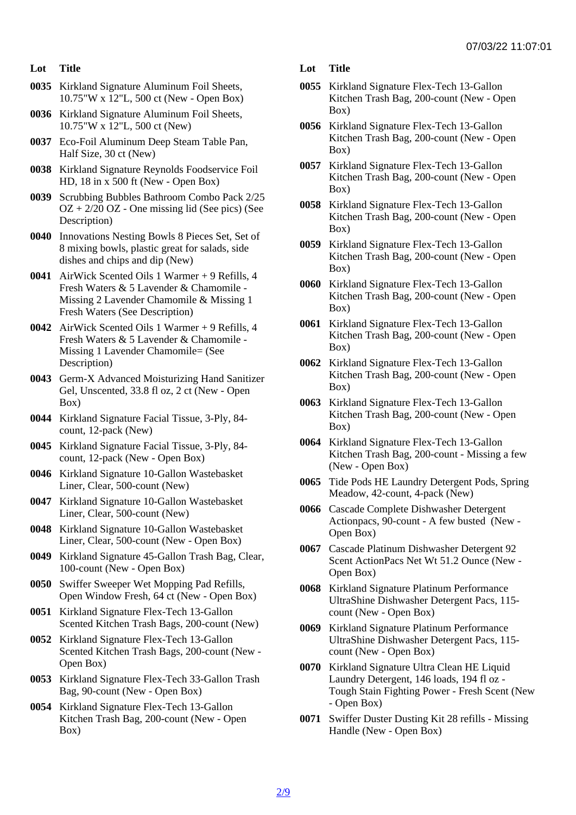- Lot Title
- 0035 Kirkland Signature Aluminum Foil Sheets, 10.75"W x 12"L, 500 ct (New - Open Box)
- 0036 Kirkland Signature Aluminum Foil Sheets, 10.75"W x 12"L, 500 ct (New)
- 0037 Eco-Foil Aluminum Deep Steam Table Pan, Half Size, 30 ct (New)
- 0038 Kirkland Signature Reynolds Foodservice Foil HD, 18 in x 500 ft (New - Open Box)
- 0039 Scrubbing Bubbles Bathroom Combo Pack 2/25 OZ + 2/20 OZ - One missing lid (See pics) (See Description)
- 0040 Innovations Nesting Bowls 8 Pieces Set, Set of 8 mixing bowls, plastic great for salads, side dishes and chips and dip (New)
- 0041 AirWick Scented Oils 1 Warmer + 9 Refills, 4 Fresh Waters & 5 Lavender & Chamomile - Missing 2 Lavender Chamomile & Missing 1 Fresh Waters (See Description)
- 0042 AirWick Scented Oils 1 Warmer + 9 Refills, 4 Fresh Waters & 5 Lavender & Chamomile - Missing 1 Lavender Chamomile= (See Description)
- 0043 Germ-X Advanced Moisturizing Hand Sanitizer Gel, Unscented, 33.8 fl oz, 2 ct (New - Open Box)
- 0044 Kirkland Signature Facial Tissue, 3-Ply, 84 count, 12-pack (New)
- 0045 Kirkland Signature Facial Tissue, 3-Ply, 84 count, 12-pack (New - Open Box)
- 0046 Kirkland Signature 10-Gallon Wastebasket Liner, Clear, 500-count (New)
- 0047 Kirkland Signature 10-Gallon Wastebasket Liner, Clear, 500-count (New)
- 0048 Kirkland Signature 10-Gallon Wastebasket Liner, Clear, 500-count (New - Open Box)
- 0049 Kirkland Signature 45-Gallon Trash Bag, Clear, 100-count (New - Open Box)
- 0050 Swiffer Sweeper Wet Mopping Pad Refills, Open Window Fresh, 64 ct (New - Open Box)
- 0051 Kirkland Signature Flex-Tech 13-Gallon Scented Kitchen Trash Bags, 200-count (New)
- 0052 Kirkland Signature Flex-Tech 13-Gallon Scented Kitchen Trash Bags, 200-count (New - Open Box)
- 0053 Kirkland Signature Flex-Tech 33-Gallon Trash Bag, 90-count (New - Open Box)
- 0054 Kirkland Signature Flex-Tech 13-Gallon Kitchen Trash Bag, 200-count (New - Open Box)
- Lot Title
- 0055 Kirkland Signature Flex-Tech 13-Gallon Kitchen Trash Bag, 200-count (New - Open Box)
- 0056 Kirkland Signature Flex-Tech 13-Gallon Kitchen Trash Bag, 200-count (New - Open Box)
- 0057 Kirkland Signature Flex-Tech 13-Gallon Kitchen Trash Bag, 200-count (New - Open Box)
- 0058 Kirkland Signature Flex-Tech 13-Gallon Kitchen Trash Bag, 200-count (New - Open Box)
- 0059 Kirkland Signature Flex-Tech 13-Gallon Kitchen Trash Bag, 200-count (New - Open Box)
- 0060 Kirkland Signature Flex-Tech 13-Gallon Kitchen Trash Bag, 200-count (New - Open Box)
- 0061 Kirkland Signature Flex-Tech 13-Gallon Kitchen Trash Bag, 200-count (New - Open Box)
- 0062 Kirkland Signature Flex-Tech 13-Gallon Kitchen Trash Bag, 200-count (New - Open Box)
- 0063 Kirkland Signature Flex-Tech 13-Gallon Kitchen Trash Bag, 200-count (New - Open Box)
- 0064 Kirkland Signature Flex-Tech 13-Gallon Kitchen Trash Bag, 200-count - Missing a few (New - Open Box)
- 0065 Tide Pods HE Laundry Detergent Pods, Spring Meadow, 42-count, 4-pack (New)
- 0066 Cascade Complete Dishwasher Detergent Actionpacs, 90-count - A few busted (New - Open Box)
- 0067 Cascade Platinum Dishwasher Detergent 92 Scent ActionPacs Net Wt 51.2 Ounce (New - Open Box)
- 0068 Kirkland Signature Platinum Performance UltraShine Dishwasher Detergent Pacs, 115 count (New - Open Box)
- 0069 Kirkland Signature Platinum Performance UltraShine Dishwasher Detergent Pacs, 115 count (New - Open Box)
- 0070 Kirkland Signature Ultra Clean HE Liquid Laundry Detergent, 146 loads, 194 fl oz - Tough Stain Fighting Power - Fresh Scent (New - Open Box)
- 0071 Swiffer Duster Dusting Kit 28 refills Missing Handle (New - Open Box)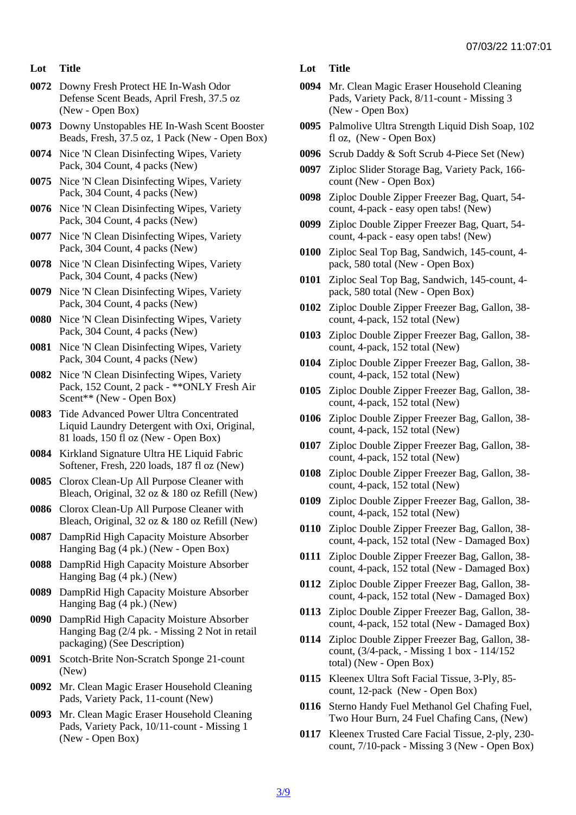- Lot Title
- 0072 Downy Fresh Protect HE In-Wash Odor Defense Scent Beads, April Fresh, 37.5 oz (New - Open Box)
- 0073 Downy Unstopables HE In-Wash Scent Booster Beads, Fresh, 37.5 oz, 1 Pack (New - Open Box)
- 0074 Nice 'N Clean Disinfecting Wipes, Variety Pack, 304 Count, 4 packs (New)
- 0075 Nice 'N Clean Disinfecting Wipes, Variety Pack, 304 Count, 4 packs (New)
- 0076 Nice 'N Clean Disinfecting Wipes, Variety Pack, 304 Count, 4 packs (New)
- 0077 Nice 'N Clean Disinfecting Wipes, Variety Pack, 304 Count, 4 packs (New)
- 0078 Nice 'N Clean Disinfecting Wipes, Variety Pack, 304 Count, 4 packs (New)
- 0079 Nice 'N Clean Disinfecting Wipes, Variety Pack, 304 Count, 4 packs (New)
- 0080 Nice 'N Clean Disinfecting Wipes, Variety Pack, 304 Count, 4 packs (New)
- 0081 Nice 'N Clean Disinfecting Wipes, Variety Pack, 304 Count, 4 packs (New)
- 0082 Nice 'N Clean Disinfecting Wipes, Variety Pack, 152 Count, 2 pack - \*\*ONLY Fresh Air Scent\*\* (New - Open Box)
- 0083 Tide Advanced Power Ultra Concentrated Liquid Laundry Detergent with Oxi, Original, 81 loads, 150 fl oz (New - Open Box)
- 0084 Kirkland Signature Ultra HE Liquid Fabric Softener, Fresh, 220 loads, 187 fl oz (New)
- 0085 Clorox Clean-Up All Purpose Cleaner with Bleach, Original, 32 oz & 180 oz Refill (New)
- 0086 Clorox Clean-Up All Purpose Cleaner with Bleach, Original, 32 oz & 180 oz Refill (New)
- 0087 DampRid High Capacity Moisture Absorber Hanging Bag (4 pk.) (New - Open Box)
- 0088 DampRid High Capacity Moisture Absorber Hanging Bag (4 pk.) (New)
- 0089 DampRid High Capacity Moisture Absorber Hanging Bag (4 pk.) (New)
- 0090 DampRid High Capacity Moisture Absorber Hanging Bag (2/4 pk. - Missing 2 Not in retail packaging) (See Description)
- 0091 Scotch-Brite Non-Scratch Sponge 21-count (New)
- 0092 Mr. Clean Magic Eraser Household Cleaning Pads, Variety Pack, 11-count (New)
- 0093 Mr. Clean Magic Eraser Household Cleaning Pads, Variety Pack, 10/11-count - Missing 1 (New - Open Box)
- Lot Title
- 0094 Mr. Clean Magic Eraser Household Cleaning Pads, Variety Pack, 8/11-count - Missing 3 (New - Open Box)
- 0095 Palmolive Ultra Strength Liquid Dish Soap, 102 fl oz, (New - Open Box)
- 0096 Scrub Daddy & Soft Scrub 4-Piece Set (New)
- 0097 Ziploc Slider Storage Bag, Variety Pack, 166 count (New - Open Box)
- 0098 Ziploc Double Zipper Freezer Bag, Quart, 54 count, 4-pack - easy open tabs! (New)
- 0099 Ziploc Double Zipper Freezer Bag, Quart, 54 count, 4-pack - easy open tabs! (New)
- 0100 Ziploc Seal Top Bag, Sandwich, 145-count, 4 pack, 580 total (New - Open Box)
- 0101 Ziploc Seal Top Bag, Sandwich, 145-count, 4 pack, 580 total (New - Open Box)
- 0102 Ziploc Double Zipper Freezer Bag, Gallon, 38 count, 4-pack, 152 total (New)
- 0103 Ziploc Double Zipper Freezer Bag, Gallon, 38 count, 4-pack, 152 total (New)
- 0104 Ziploc Double Zipper Freezer Bag, Gallon, 38 count, 4-pack, 152 total (New)
- 0105 Ziploc Double Zipper Freezer Bag, Gallon, 38 count, 4-pack, 152 total (New)
- 0106 Ziploc Double Zipper Freezer Bag, Gallon, 38 count, 4-pack, 152 total (New)
- 0107 Ziploc Double Zipper Freezer Bag, Gallon, 38 count, 4-pack, 152 total (New)
- 0108 Ziploc Double Zipper Freezer Bag, Gallon, 38 count, 4-pack, 152 total (New)
- 0109 Ziploc Double Zipper Freezer Bag, Gallon, 38 count, 4-pack, 152 total (New)
- 0110 Ziploc Double Zipper Freezer Bag, Gallon, 38 count, 4-pack, 152 total (New - Damaged Box)
- 0111 Ziploc Double Zipper Freezer Bag, Gallon, 38 count, 4-pack, 152 total (New - Damaged Box)
- 0112 Ziploc Double Zipper Freezer Bag, Gallon, 38 count, 4-pack, 152 total (New - Damaged Box)
- 0113 Ziploc Double Zipper Freezer Bag, Gallon, 38 count, 4-pack, 152 total (New - Damaged Box)
- 0114 Ziploc Double Zipper Freezer Bag, Gallon, 38 count, (3/4-pack, - Missing 1 box - 114/152 total) (New - Open Box)
- 0115 Kleenex Ultra Soft Facial Tissue, 3-Ply, 85 count, 12-pack (New - Open Box)
- 0116 Sterno Handy Fuel Methanol Gel Chafing Fuel, Two Hour Burn, 24 Fuel Chafing Cans, (New)
- 0117 Kleenex Trusted Care Facial Tissue, 2-ply, 230 count, 7/10-pack - Missing 3 (New - Open Box)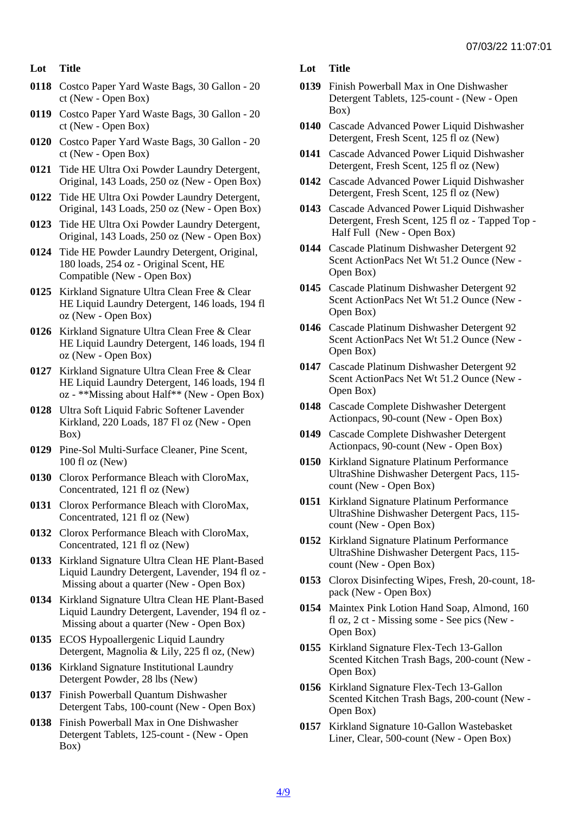- Lot Title
- 0118 Costco Paper Yard Waste Bags, 30 Gallon 20 ct (New - Open Box)
- 0119 Costco Paper Yard Waste Bags, 30 Gallon 20 ct (New - Open Box)
- 0120 Costco Paper Yard Waste Bags, 30 Gallon 20 ct (New - Open Box)
- 0121 Tide HE Ultra Oxi Powder Laundry Detergent, Original, 143 Loads, 250 oz (New - Open Box)
- 0122 Tide HE Ultra Oxi Powder Laundry Detergent, Original, 143 Loads, 250 oz (New - Open Box)
- 0123 Tide HE Ultra Oxi Powder Laundry Detergent, Original, 143 Loads, 250 oz (New - Open Box)
- 0124 Tide HE Powder Laundry Detergent, Original, 180 loads, 254 oz - Original Scent, HE Compatible (New - Open Box)
- 0125 Kirkland Signature Ultra Clean Free & Clear HE Liquid Laundry Detergent, 146 loads, 194 fl oz (New - Open Box)
- 0126 Kirkland Signature Ultra Clean Free & Clear HE Liquid Laundry Detergent, 146 loads, 194 fl oz (New - Open Box)
- 0127 Kirkland Signature Ultra Clean Free & Clear HE Liquid Laundry Detergent, 146 loads, 194 fl oz - \*\*Missing about Half\*\* (New - Open Box)
- 0128 Ultra Soft Liquid Fabric Softener Lavender Kirkland, 220 Loads, 187 Fl oz (New - Open Box)
- 0129 Pine-Sol Multi-Surface Cleaner, Pine Scent, 100 fl oz (New)
- 0130 Clorox Performance Bleach with CloroMax, Concentrated, 121 fl oz (New)
- 0131 Clorox Performance Bleach with CloroMax, Concentrated, 121 fl oz (New)
- 0132 Clorox Performance Bleach with CloroMax, Concentrated, 121 fl oz (New)
- 0133 Kirkland Signature Ultra Clean HE Plant-Based Liquid Laundry Detergent, Lavender, 194 fl oz - Missing about a quarter (New - Open Box)
- 0134 Kirkland Signature Ultra Clean HE Plant-Based Liquid Laundry Detergent, Lavender, 194 fl oz - Missing about a quarter (New - Open Box)
- 0135 ECOS Hypoallergenic Liquid Laundry Detergent, Magnolia & Lily, 225 fl oz, (New)
- 0136 Kirkland Signature Institutional Laundry Detergent Powder, 28 lbs (New)
- 0137 Finish Powerball Quantum Dishwasher Detergent Tabs, 100-count (New - Open Box)
- 0138 Finish Powerball Max in One Dishwasher Detergent Tablets, 125-count - (New - Open Box)
- Lot Title
- 0139 Finish Powerball Max in One Dishwasher Detergent Tablets, 125-count - (New - Open Box)
- 0140 Cascade Advanced Power Liquid Dishwasher Detergent, Fresh Scent, 125 fl oz (New)
- 0141 Cascade Advanced Power Liquid Dishwasher Detergent, Fresh Scent, 125 fl oz (New)
- 0142 Cascade Advanced Power Liquid Dishwasher Detergent, Fresh Scent, 125 fl oz (New)
- 0143 Cascade Advanced Power Liquid Dishwasher Detergent, Fresh Scent, 125 fl oz - Tapped Top - Half Full (New - Open Box)
- 0144 Cascade Platinum Dishwasher Detergent 92 Scent ActionPacs Net Wt 51.2 Ounce (New - Open Box)
- 0145 Cascade Platinum Dishwasher Detergent 92 Scent ActionPacs Net Wt 51.2 Ounce (New - Open Box)
- 0146 Cascade Platinum Dishwasher Detergent 92 Scent ActionPacs Net Wt 51.2 Ounce (New - Open Box)
- 0147 Cascade Platinum Dishwasher Detergent 92 Scent ActionPacs Net Wt 51.2 Ounce (New - Open Box)
- 0148 Cascade Complete Dishwasher Detergent Actionpacs, 90-count (New - Open Box)
- 0149 Cascade Complete Dishwasher Detergent Actionpacs, 90-count (New - Open Box)
- 0150 Kirkland Signature Platinum Performance UltraShine Dishwasher Detergent Pacs, 115 count (New - Open Box)
- 0151 Kirkland Signature Platinum Performance UltraShine Dishwasher Detergent Pacs, 115 count (New - Open Box)
- 0152 Kirkland Signature Platinum Performance UltraShine Dishwasher Detergent Pacs, 115 count (New - Open Box)
- 0153 Clorox Disinfecting Wipes, Fresh, 20-count, 18 pack (New - Open Box)
- 0154 Maintex Pink Lotion Hand Soap, Almond, 160 fl oz, 2 ct - Missing some - See pics (New - Open Box)
- 0155 Kirkland Signature Flex-Tech 13-Gallon Scented Kitchen Trash Bags, 200-count (New - Open Box)
- 0156 Kirkland Signature Flex-Tech 13-Gallon Scented Kitchen Trash Bags, 200-count (New - Open Box)
- 0157 Kirkland Signature 10-Gallon Wastebasket Liner, Clear, 500-count (New - Open Box)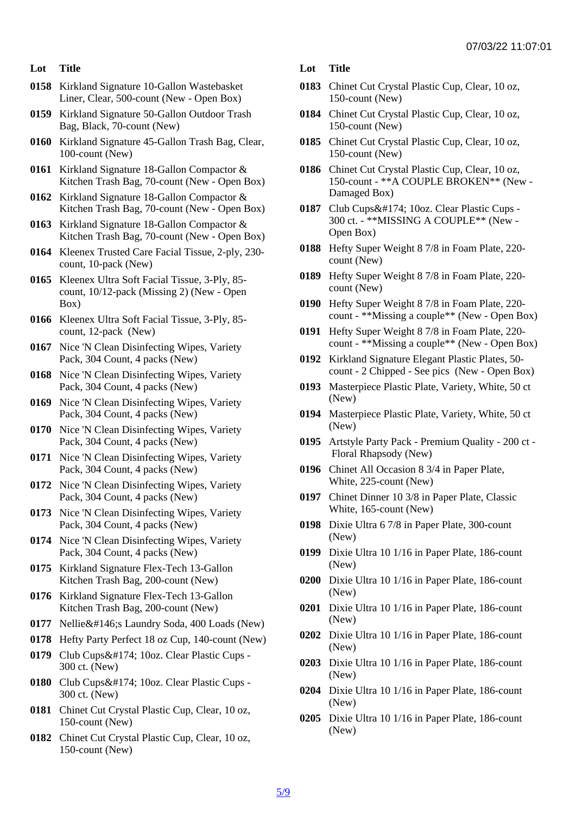- Lot Title
- 0158 Kirkland Signature 10-Gallon Wastebasket Liner, Clear, 500-count (New - Open Box)
- 0159 Kirkland Signature 50-Gallon Outdoor Trash Bag, Black, 70-count (New)
- 0160 Kirkland Signature 45-Gallon Trash Bag, Clear, 100-count (New)
- 0161 Kirkland Signature 18-Gallon Compactor & Kitchen Trash Bag, 70-count (New - Open Box)
- 0162 Kirkland Signature 18-Gallon Compactor & Kitchen Trash Bag, 70-count (New - Open Box)
- 0163 Kirkland Signature 18-Gallon Compactor & Kitchen Trash Bag, 70-count (New - Open Box)
- 0164 Kleenex Trusted Care Facial Tissue, 2-ply, 230 count, 10-pack (New)
- 0165 Kleenex Ultra Soft Facial Tissue, 3-Ply, 85 count, 10/12-pack (Missing 2) (New - Open Box)
- 0166 Kleenex Ultra Soft Facial Tissue, 3-Ply, 85 count, 12-pack (New)
- 0167 Nice 'N Clean Disinfecting Wipes, Variety Pack, 304 Count, 4 packs (New)
- 0168 Nice 'N Clean Disinfecting Wipes, Variety Pack, 304 Count, 4 packs (New)
- 0169 Nice 'N Clean Disinfecting Wipes, Variety Pack, 304 Count, 4 packs (New)
- 0170 Nice 'N Clean Disinfecting Wipes, Variety Pack, 304 Count, 4 packs (New)
- 0171 Nice 'N Clean Disinfecting Wipes, Variety Pack, 304 Count, 4 packs (New)
- 0172 Nice 'N Clean Disinfecting Wipes, Variety Pack, 304 Count, 4 packs (New)
- 0173 Nice 'N Clean Disinfecting Wipes, Variety Pack, 304 Count, 4 packs (New)
- 0174 Nice 'N Clean Disinfecting Wipes, Variety Pack, 304 Count, 4 packs (New)
- 0175 Kirkland Signature Flex-Tech 13-Gallon Kitchen Trash Bag, 200-count (New)
- 0176 Kirkland Signature Flex-Tech 13-Gallon Kitchen Trash Bag, 200-count (New)
- 0177 Nellie's Laundry Soda, 400 Loads (New)
- 0178 Hefty Party Perfect 18 oz Cup, 140-count (New)
- 0179 Club Cups® 10oz. Clear Plastic Cups -300 ct. (New)
- 0180 Club Cups® 10oz. Clear Plastic Cups -300 ct. (New)
- 0181 Chinet Cut Crystal Plastic Cup, Clear, 10 oz, 150-count (New)
- 0182 Chinet Cut Crystal Plastic Cup, Clear, 10 oz, 150-count (New)
- Lot Title
- 0183 Chinet Cut Crystal Plastic Cup, Clear, 10 oz, 150-count (New)
- 0184 Chinet Cut Crystal Plastic Cup, Clear, 10 oz, 150-count (New)
- 0185 Chinet Cut Crystal Plastic Cup, Clear, 10 oz, 150-count (New)
- 0186 Chinet Cut Crystal Plastic Cup, Clear, 10 oz, 150-count - \*\*A COUPLE BROKEN\*\* (New - Damaged Box)
- 0187 Club Cups® 10oz. Clear Plastic Cups -300 ct. - \*\*MISSING A COUPLE\*\* (New - Open Box)
- 0188 Hefty Super Weight 8 7/8 in Foam Plate, 220 count (New)
- 0189 Hefty Super Weight 8 7/8 in Foam Plate, 220 count (New)
- 0190 Hefty Super Weight 8 7/8 in Foam Plate, 220 count - \*\*Missing a couple\*\* (New - Open Box)
- 0191 Hefty Super Weight 8 7/8 in Foam Plate, 220 count - \*\*Missing a couple\*\* (New - Open Box)
- 0192 Kirkland Signature Elegant Plastic Plates, 50 count - 2 Chipped - See pics (New - Open Box)
- 0193 Masterpiece Plastic Plate, Variety, White, 50 ct (New)
- 0194 Masterpiece Plastic Plate, Variety, White, 50 ct (New)
- 0195 Artstyle Party Pack Premium Quality 200 ct Floral Rhapsody (New)
- 0196 Chinet All Occasion 8 3/4 in Paper Plate, White, 225-count (New)
- 0197 Chinet Dinner 10 3/8 in Paper Plate, Classic White, 165-count (New)
- 0198 Dixie Ultra 6 7/8 in Paper Plate, 300-count (New)
- 0199 Dixie Ultra 10 1/16 in Paper Plate, 186-count (New)
- 0200 Dixie Ultra 10 1/16 in Paper Plate, 186-count (New)
- 0201 Dixie Ultra 10 1/16 in Paper Plate, 186-count (New)
- 0202 Dixie Ultra 10 1/16 in Paper Plate, 186-count (New)
- 0203 Dixie Ultra 10 1/16 in Paper Plate, 186-count (New)
- 0204 Dixie Ultra 10 1/16 in Paper Plate, 186-count (New)
- 0205 Dixie Ultra 10 1/16 in Paper Plate, 186-count (New)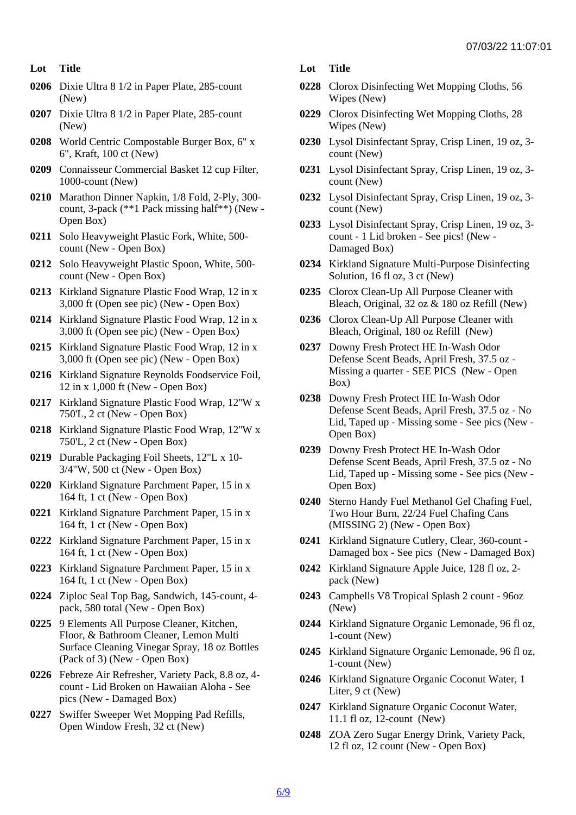- Lot Title
- 0206 Dixie Ultra 8 1/2 in Paper Plate, 285-count (New)
- 0207 Dixie Ultra 8 1/2 in Paper Plate, 285-count (New)
- 0208 World Centric Compostable Burger Box, 6" x 6", Kraft, 100 ct (New)
- 0209 Connaisseur Commercial Basket 12 cup Filter, 1000-count (New)
- 0210 Marathon Dinner Napkin, 1/8 Fold, 2-Ply, 300 count, 3-pack (\*\*1 Pack missing half\*\*) (New - Open Box)
- 0211 Solo Heavyweight Plastic Fork, White, 500 count (New - Open Box)
- 0212 Solo Heavyweight Plastic Spoon, White, 500 count (New - Open Box)
- 0213 Kirkland Signature Plastic Food Wrap, 12 in x 3,000 ft (Open see pic) (New - Open Box)
- 0214 Kirkland Signature Plastic Food Wrap, 12 in x 3,000 ft (Open see pic) (New - Open Box)
- 0215 Kirkland Signature Plastic Food Wrap, 12 in x 3,000 ft (Open see pic) (New - Open Box)
- 0216 Kirkland Signature Reynolds Foodservice Foil, 12 in x 1,000 ft (New - Open Box)
- 0217 Kirkland Signature Plastic Food Wrap, 12''W x 750'L, 2 ct (New - Open Box)
- 0218 Kirkland Signature Plastic Food Wrap, 12''W x 750'L, 2 ct (New - Open Box)
- 0219 Durable Packaging Foil Sheets, 12"L x 10- 3/4"W, 500 ct (New - Open Box)
- 0220 Kirkland Signature Parchment Paper, 15 in x 164 ft, 1 ct (New - Open Box)
- 0221 Kirkland Signature Parchment Paper, 15 in x 164 ft, 1 ct (New - Open Box)
- 0222 Kirkland Signature Parchment Paper, 15 in x 164 ft, 1 ct (New - Open Box)
- 0223 Kirkland Signature Parchment Paper, 15 in x 164 ft, 1 ct (New - Open Box)
- 0224 Ziploc Seal Top Bag, Sandwich, 145-count, 4 pack, 580 total (New - Open Box)
- 0225 9 Elements All Purpose Cleaner, Kitchen, Floor, & Bathroom Cleaner, Lemon Multi Surface Cleaning Vinegar Spray, 18 oz Bottles (Pack of 3) (New - Open Box)
- 0226 Febreze Air Refresher, Variety Pack, 8.8 oz, 4 count - Lid Broken on Hawaiian Aloha - See pics (New - Damaged Box)
- 0227 Swiffer Sweeper Wet Mopping Pad Refills, Open Window Fresh, 32 ct (New)
- Lot Title
- 0228 Clorox Disinfecting Wet Mopping Cloths, 56 Wipes (New)
- 0229 Clorox Disinfecting Wet Mopping Cloths, 28 Wipes (New)
- 0230 Lysol Disinfectant Spray, Crisp Linen, 19 oz, 3 count (New)
- 0231 Lysol Disinfectant Spray, Crisp Linen, 19 oz, 3 count (New)
- 0232 Lysol Disinfectant Spray, Crisp Linen, 19 oz, 3 count (New)
- 0233 Lysol Disinfectant Spray, Crisp Linen, 19 oz, 3 count - 1 Lid broken - See pics! (New - Damaged Box)
- 0234 Kirkland Signature Multi-Purpose Disinfecting Solution, 16 fl oz, 3 ct (New)
- 0235 Clorox Clean-Up All Purpose Cleaner with Bleach, Original, 32 oz & 180 oz Refill (New)
- 0236 Clorox Clean-Up All Purpose Cleaner with Bleach, Original, 180 oz Refill (New)
- 0237 Downy Fresh Protect HE In-Wash Odor Defense Scent Beads, April Fresh, 37.5 oz - Missing a quarter - SEE PICS (New - Open Box)
- 0238 Downy Fresh Protect HE In-Wash Odor Defense Scent Beads, April Fresh, 37.5 oz - No Lid, Taped up - Missing some - See pics (New - Open Box)
- 0239 Downy Fresh Protect HE In-Wash Odor Defense Scent Beads, April Fresh, 37.5 oz - No Lid, Taped up - Missing some - See pics (New - Open Box)
- 0240 Sterno Handy Fuel Methanol Gel Chafing Fuel, Two Hour Burn, 22/24 Fuel Chafing Cans (MISSING 2) (New - Open Box)
- 0241 Kirkland Signature Cutlery, Clear, 360-count Damaged box - See pics (New - Damaged Box)
- 0242 Kirkland Signature Apple Juice, 128 fl oz, 2 pack (New)
- 0243 Campbells V8 Tropical Splash 2 count 96oz (New)
- 0244 Kirkland Signature Organic Lemonade, 96 fl oz, 1-count (New)
- 0245 Kirkland Signature Organic Lemonade, 96 fl oz, 1-count (New)
- 0246 Kirkland Signature Organic Coconut Water, 1 Liter, 9 ct (New)
- 0247 Kirkland Signature Organic Coconut Water, 11.1 fl oz, 12-count (New)
- 0248 ZOA Zero Sugar Energy Drink, Variety Pack, 12 fl oz, 12 count (New - Open Box)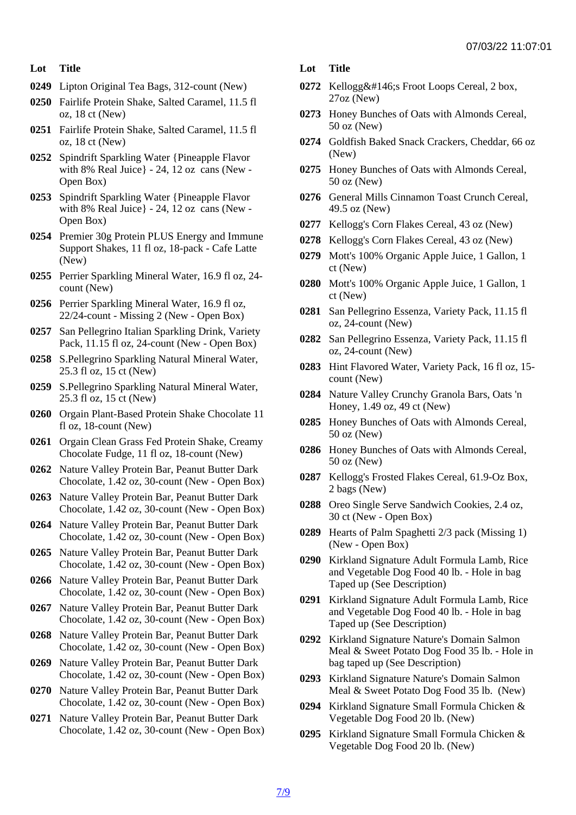- Lot Title
- 0249 Lipton Original Tea Bags, 312-count (New)
- 0250 Fairlife Protein Shake, Salted Caramel, 11.5 fl oz, 18 ct (New)
- 0251 Fairlife Protein Shake, Salted Caramel, 11.5 fl oz, 18 ct (New)
- 0252 Spindrift Sparkling Water {Pineapple Flavor with 8% Real Juice} - 24, 12 oz cans (New - Open Box)
- 0253 Spindrift Sparkling Water {Pineapple Flavor with 8% Real Juice} - 24, 12 oz cans (New - Open Box)
- 0254 Premier 30g Protein PLUS Energy and Immune Support Shakes, 11 fl oz, 18-pack - Cafe Latte (New)
- 0255 Perrier Sparkling Mineral Water, 16.9 fl oz, 24 count (New)
- 0256 Perrier Sparkling Mineral Water, 16.9 fl oz, 22/24-count - Missing 2 (New - Open Box)
- 0257 San Pellegrino Italian Sparkling Drink, Variety Pack, 11.15 fl oz, 24-count (New - Open Box)
- 0258 S.Pellegrino Sparkling Natural Mineral Water, 25.3 fl oz, 15 ct (New)
- 0259 S.Pellegrino Sparkling Natural Mineral Water, 25.3 fl oz, 15 ct (New)
- 0260 Orgain Plant-Based Protein Shake Chocolate 11 fl oz, 18-count (New)
- 0261 Orgain Clean Grass Fed Protein Shake, Creamy Chocolate Fudge, 11 fl oz, 18-count (New)
- 0262 Nature Valley Protein Bar, Peanut Butter Dark Chocolate, 1.42 oz, 30-count (New - Open Box)
- 0263 Nature Valley Protein Bar, Peanut Butter Dark Chocolate, 1.42 oz, 30-count (New - Open Box)
- 0264 Nature Valley Protein Bar, Peanut Butter Dark Chocolate, 1.42 oz, 30-count (New - Open Box)
- 0265 Nature Valley Protein Bar, Peanut Butter Dark Chocolate, 1.42 oz, 30-count (New - Open Box)
- 0266 Nature Valley Protein Bar, Peanut Butter Dark Chocolate, 1.42 oz, 30-count (New - Open Box)
- 0267 Nature Valley Protein Bar, Peanut Butter Dark Chocolate, 1.42 oz, 30-count (New - Open Box)
- 0268 Nature Valley Protein Bar, Peanut Butter Dark Chocolate, 1.42 oz, 30-count (New - Open Box)
- 0269 Nature Valley Protein Bar, Peanut Butter Dark Chocolate, 1.42 oz, 30-count (New - Open Box)
- 0270 Nature Valley Protein Bar, Peanut Butter Dark Chocolate, 1.42 oz, 30-count (New - Open Box)
- 0271 Nature Valley Protein Bar, Peanut Butter Dark Chocolate, 1.42 oz, 30-count (New - Open Box)
- Lot Title
- 0272 Kellogg' Froot Loops Cereal, 2 box, 27oz (New)
- 0273 Honey Bunches of Oats with Almonds Cereal, 50 oz (New)
- 0274 Goldfish Baked Snack Crackers, Cheddar, 66 oz (New)
- 0275 Honey Bunches of Oats with Almonds Cereal, 50 oz (New)
- 0276 General Mills Cinnamon Toast Crunch Cereal, 49.5 oz (New)
- 0277 Kellogg's Corn Flakes Cereal, 43 oz (New)
- 0278 Kellogg's Corn Flakes Cereal, 43 oz (New)
- 0279 Mott's 100% Organic Apple Juice, 1 Gallon, 1 ct (New)
- 0280 Mott's 100% Organic Apple Juice, 1 Gallon, 1 ct (New)
- 0281 San Pellegrino Essenza, Variety Pack, 11.15 fl oz, 24-count (New)
- 0282 San Pellegrino Essenza, Variety Pack, 11.15 fl oz, 24-count (New)
- 0283 Hint Flavored Water, Variety Pack, 16 fl oz, 15 count (New)
- 0284 Nature Valley Crunchy Granola Bars, Oats 'n Honey, 1.49 oz, 49 ct (New)
- 0285 Honey Bunches of Oats with Almonds Cereal, 50 oz (New)
- 0286 Honey Bunches of Oats with Almonds Cereal, 50 oz (New)
- 0287 Kellogg's Frosted Flakes Cereal, 61.9-Oz Box, 2 bags (New)
- 0288 Oreo Single Serve Sandwich Cookies, 2.4 oz, 30 ct (New - Open Box)
- 0289 Hearts of Palm Spaghetti 2/3 pack (Missing 1) (New - Open Box)
- 0290 Kirkland Signature Adult Formula Lamb, Rice and Vegetable Dog Food 40 lb. - Hole in bag Taped up (See Description)
- 0291 Kirkland Signature Adult Formula Lamb, Rice and Vegetable Dog Food 40 lb. - Hole in bag Taped up (See Description)
- 0292 Kirkland Signature Nature's Domain Salmon Meal & Sweet Potato Dog Food 35 lb. - Hole in bag taped up (See Description)
- 0293 Kirkland Signature Nature's Domain Salmon Meal & Sweet Potato Dog Food 35 lb. (New)
- 0294 Kirkland Signature Small Formula Chicken & Vegetable Dog Food 20 lb. (New)
- 0295 Kirkland Signature Small Formula Chicken & Vegetable Dog Food 20 lb. (New)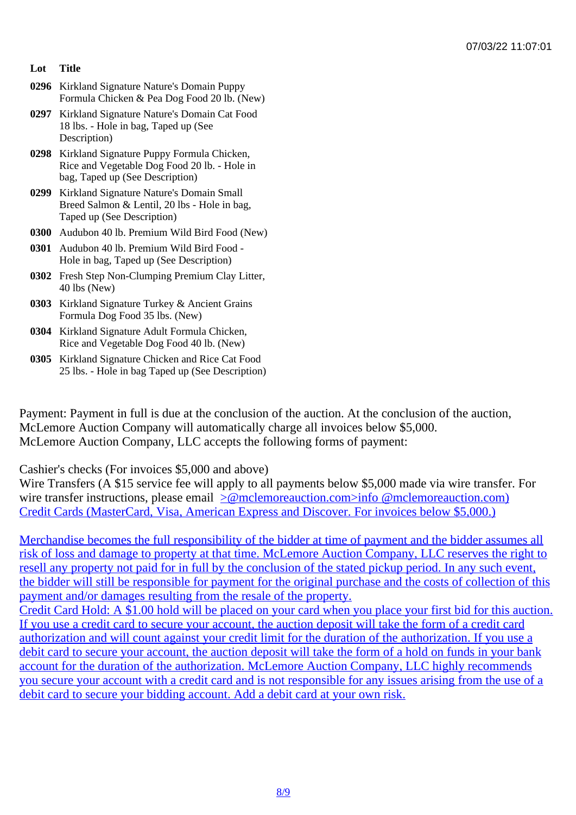- Lot Title
- 0296 Kirkland Signature Nature's Domain Puppy Formula Chicken & Pea Dog Food 20 lb. (New)
- 0297 Kirkland Signature Nature's Domain Cat Food 18 lbs. - Hole in bag, Taped up (See Description)
- 0298 Kirkland Signature Puppy Formula Chicken, Rice and Vegetable Dog Food 20 lb. - Hole in bag, Taped up (See Description)
- 0299 Kirkland Signature Nature's Domain Small Breed Salmon & Lentil, 20 lbs - Hole in bag, Taped up (See Description)
- 0300 Audubon 40 lb. Premium Wild Bird Food (New)
- 0301 Audubon 40 lb. Premium Wild Bird Food Hole in bag, Taped up (See Description)
- 0302 Fresh Step Non-Clumping Premium Clay Litter, 40 lbs (New)
- 0303 Kirkland Signature Turkey & Ancient Grains Formula Dog Food 35 lbs. (New)
- 0304 Kirkland Signature Adult Formula Chicken, Rice and Vegetable Dog Food 40 lb. (New)
- 0305 Kirkland Signature Chicken and Rice Cat Food 25 lbs. - Hole in bag Taped up (See Description)

Payment: Payment in full is due at the conclusion of the auction. At the conclusion of the auction, McLemore Auction Company will automatically charge all invoices below \$5,000. McLemore Auction Company, LLC accepts the following forms of payment:

Cashier's checks (For invoices \$5,000 and above)

Wire Transfers (A \$15 service fee will apply to all payments below \$5,000 made via wire transfer. For wire transfer instructions, please email molemoreauction.com>info @mclemoreauction.com) Credit Cards (MasterCard, Visa, American Express and Discover. For invoices below \$5,000.)

Merchandise becomes the full resp[onsibility of the bidder at time of payment and the bidd](mailto:info@mclemoreauction.com</c:alink)er assumes a [risk of loss and damage to property at that time. McLemore Auction Company, LLC re](mailto:info@mclemoreauction.com</c:alink)serves the right to resell any property not paid for in full by the conclusion of the stated pickup period. In any such event, [the bidder will still be responsible for payment for the original purchase and the costs of collecti](mailto:info@mclemoreauction.com</c:alink)on of this [payment and/or damages resulting from the resale of the property.](mailto:info@mclemoreauction.com</c:alink)

[Credit Card Hold: A \\$1.00 hold will be placed on your card when you place your first bid for th](mailto:info@mclemoreauction.com</c:alink)is auction. [If you use a credit card to secure your account, the auction deposit will take the form of a credit c](mailto:info@mclemoreauction.com</c:alink)ard [authorization and will count against your credit limit for the d](mailto:info@mclemoreauction.com</c:alink)uration of the authorization. If you use a [debit card to secure your account, the auction deposit will take the form of a hold on funds in you](mailto:info@mclemoreauction.com</c:alink)r bank [account for the duration of the authorization. McLemore Auction Company, LLC highly reco](mailto:info@mclemoreauction.com</c:alink)mmends [you secure your account with a credit card and is not responsible for any issues arising from](mailto:info@mclemoreauction.com</c:alink) the use of [debit card to secure your bidding account. Add a debit card at your own risk.](mailto:info@mclemoreauction.com</c:alink)